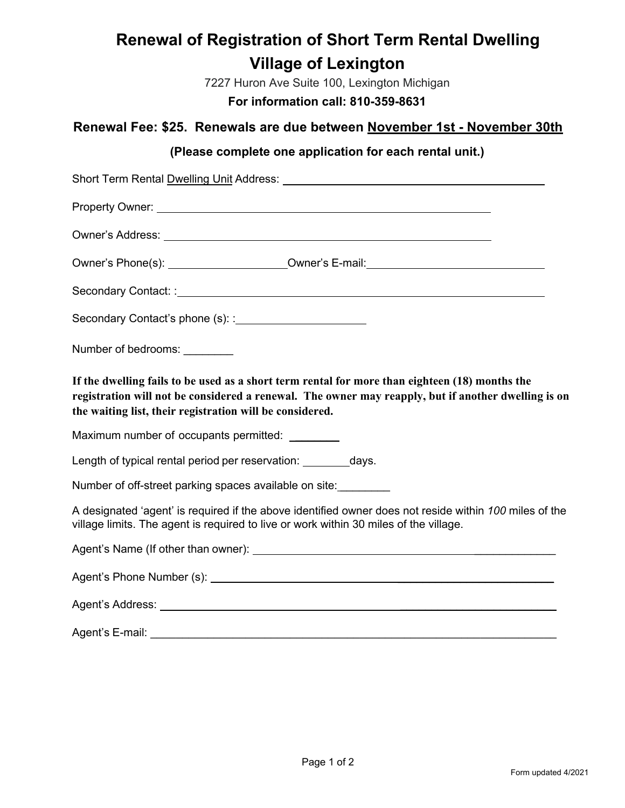# **Renewal of Registration of Short Term Rental Dwelling Village of Lexington**

7227 Huron Ave Suite 100, Lexington Michigan

**For information call: 810-359-8631**

### **Renewal Fee: \$25. Renewals are due between November 1st - November 30th**

### **(Please complete one application for each rental unit.)**

| Short Term Rental Dwelling Unit Address: National Contract of the Contract of the Contract of the Contract of the Contract of the Contract of the Contract of the Contract of the Contract of the Contract of the Contract of                                     |
|-------------------------------------------------------------------------------------------------------------------------------------------------------------------------------------------------------------------------------------------------------------------|
| Property Owner: Network and Contract the Contract of the Contract of the Contract of the Contract of the Contract of the Contract of the Contract of the Contract of the Contract of the Contract of the Contract of the Contr                                    |
|                                                                                                                                                                                                                                                                   |
| Owner's Phone(s): _______________________Owner's E-mail: _______________________                                                                                                                                                                                  |
|                                                                                                                                                                                                                                                                   |
|                                                                                                                                                                                                                                                                   |
| Number of bedrooms:                                                                                                                                                                                                                                               |
| If the dwelling fails to be used as a short term rental for more than eighteen (18) months the<br>registration will not be considered a renewal. The owner may reapply, but if another dwelling is on<br>the waiting list, their registration will be considered. |
| Maximum number of occupants permitted: _________                                                                                                                                                                                                                  |
| Length of typical rental period per reservation: _________ days.                                                                                                                                                                                                  |
| Number of off-street parking spaces available on site:                                                                                                                                                                                                            |
| A designated 'agent' is required if the above identified owner does not reside within 100 miles of the<br>village limits. The agent is required to live or work within 30 miles of the village.                                                                   |
|                                                                                                                                                                                                                                                                   |
|                                                                                                                                                                                                                                                                   |
|                                                                                                                                                                                                                                                                   |
| Agent's E-mail:                                                                                                                                                                                                                                                   |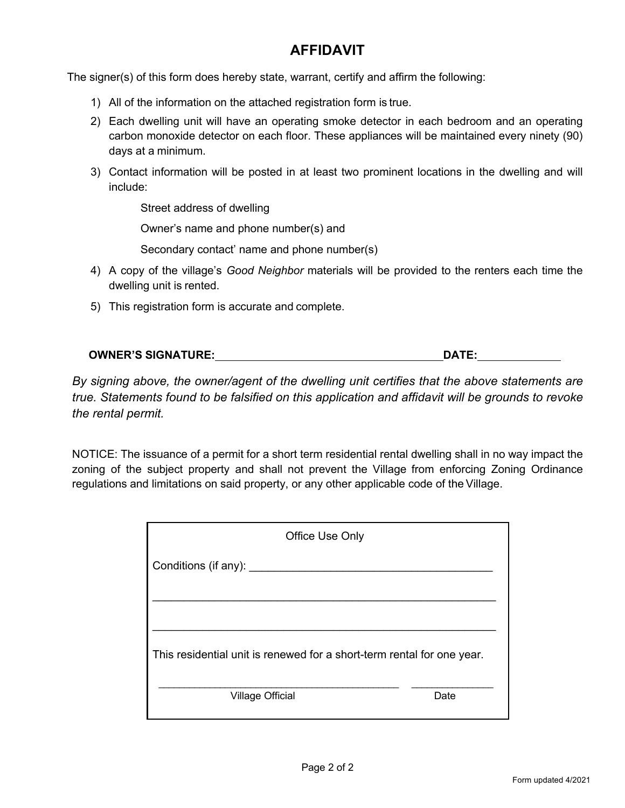### **AFFIDAVIT**

The signer(s) of this form does hereby state, warrant, certify and affirm the following:

- 1) All of the information on the attached registration form is true.
- 2) Each dwelling unit will have an operating smoke detector in each bedroom and an operating carbon monoxide detector on each floor. These appliances will be maintained every ninety (90) days at a minimum.
- 3) Contact information will be posted in at least two prominent locations in the dwelling and will include:

Street address of dwelling

Owner's name and phone number(s) and

Secondary contact' name and phone number(s)

- 4) A copy of the village's *Good Neighbor* materials will be provided to the renters each time the dwelling unit is rented.
- 5) This registration form is accurate and complete.

| <b>OWNER'S SIGNATURE:</b> | DATE: |
|---------------------------|-------|
|                           |       |

*By signing above, the owner/agent of the dwelling unit certifies that the above statements are true. Statements found to be falsified on this application and affidavit will be grounds to revoke the rental permit.*

NOTICE: The issuance of a permit for a short term residential rental dwelling shall in no way impact the zoning of the subject property and shall not prevent the Village from enforcing Zoning Ordinance regulations and limitations on said property, or any other applicable code of the Village.

| Office Use Only                                                        |      |  |
|------------------------------------------------------------------------|------|--|
| Conditions (if any): _____                                             |      |  |
|                                                                        |      |  |
|                                                                        |      |  |
| This residential unit is renewed for a short-term rental for one year. |      |  |
| <b>Village Official</b>                                                | Date |  |